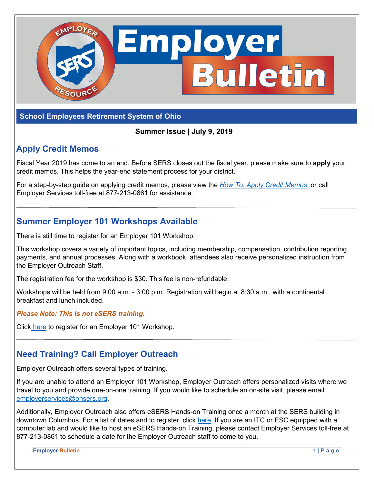

### **School Employees Retirement System of Ohio**

#### **Summer Issue | July 9, 2019**

### **Apply Credit Memos**

Fiscal Year 2019 has come to an end. Before SERS closes out the fiscal year, please make sure to **apply** your credit memos. This helps the year-end statement process for your district.

For a step-by-step guide on applying credit memos, please view the *[How To: Apply Credit Memos](https://www.ohsers.org/wp-content/uploads/2018/04/EMP-7002-How-To-Apply-a-Credit-Memo.pdf)*, or call Employer Services toll-free at 877-213-0861 for assistance.

### **Summer Employer 101 Workshops Available**

There is still time to register for an Employer 101 Workshop.

This workshop covers a variety of important topics, including membership, compensation, contribution reporting, payments, and annual processes. Along with a workbook, attendees also receive personalized instruction from the Employer Outreach Staff.

The registration fee for the workshop is \$30. This fee is non-refundable.

Workshops will be held from 9:00 a.m. - 3:00 p.m. Registration will begin at 8:30 a.m., with a continental breakfast and lunch included.

*Please Note: This is not eSERS training.*

Click [here](https://www.ohsers.org/employer-101-workshops/) to register for an Employer 101 Workshop.

### **Need Training? Call Employer Outreach**

Employer Outreach offers several types of training.

If you are unable to attend an Employer 101 Workshop, Employer Outreach offers personalized visits where we travel to you and provide one-on-one training. If you would like to schedule an on-site visit, please email [employerservices@ohsers.org.](mailto: employerservices@ohsers.org)

Additionally, Employer Outreach also offers eSERS Hands-on Training once a month at the SERS building in downtown Columbus. For a list of dates and to register, click [here.](https://www.ohsers.org/employers/employer-education/workshops/) If you are an ITC or ESC equipped with a computer lab and would like to host an eSERS Hands-on Training, please contact Employer Services toll-free at 877-213-0861 to schedule a date for the Employer Outreach staff to come to you.

**Employer Bulletin** 1 | Page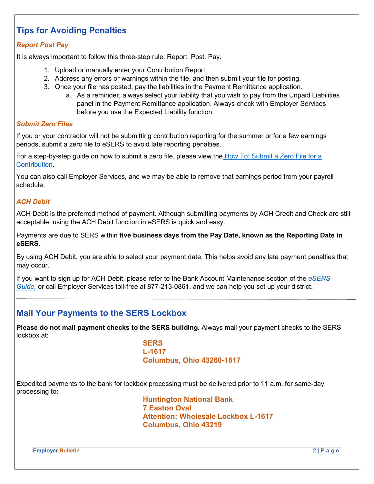# **Tips for Avoiding Penalties**

#### *Report Post Pay*

It is always important to follow this three-step rule: Report. Post. Pay.

- 1. Upload or manually enter your Contribution Report.
- 2. Address any errors or warnings within the file, and then submit your file for posting.
- 3. Once your file has posted, pay the liabilities in the Payment Remittance application.
	- a. As a reminder, always select your liability that you wish to pay from the Unpaid Liabilities panel in the Payment Remittance application. Always check with Employer Services before you use the Expected Liability function.

#### *Submit Zero Files*

If you or your contractor will not be submitting contribution reporting for the summer or for a few earnings periods, submit a zero file to eSERS to avoid late reporting penalties.

For a step-by-step guide on how to submit a zero file, please view the [How To: Submit a Zero File for a](https://www.ohsers.org/wp-content/uploads/2018/04/EMP-7004-How-To-Zero-File.pdf)  [Contribution.](https://www.ohsers.org/wp-content/uploads/2018/04/EMP-7004-How-To-Zero-File.pdf)

You can also call Employer Services, and we may be able to remove that earnings period from your payroll schedule.

#### *ACH Debit*

ACH Debit is the preferred method of payment. Although submitting payments by ACH Credit and Check are still acceptable, using the ACH Debit function in eSERS is quick and easy.

Payments are due to SERS within **five business days from the Pay Date, known as the Reporting Date in eSERS.**

By using ACH Debit, you are able to select your payment date. This helps avoid any late payment penalties that may occur.

If you want to sign up for ACH Debit, please refer to the Bank Account Maintenance section of the *[eSERS](http://www.ohsers.org/wp-content/uploads/2018/04/eSERS-Guide.pdf)  [Guide,](http://www.ohsers.org/wp-content/uploads/2018/04/eSERS-Guide.pdf)* or call Employer Services toll-free at 877-213-0861, and we can help you set up your district.

### **Mail Your Payments to the SERS Lockbox**

**Please do not mail payment checks to the SERS building.** Always mail your payment checks to the SERS lockbox at:

> **SERS L-1617 Columbus, Ohio 43260-1617**

Expedited payments to the bank for lockbox processing must be delivered prior to 11 a.m. for same-day processing to:

> **Huntington National Bank 7 Easton Oval Attention: Wholesale Lockbox L-1617 Columbus, Ohio 43219**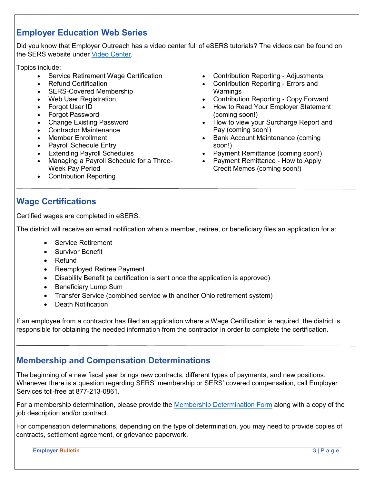### **Employer Education Web Series**

Did you know that Employer Outreach has a video center full of eSERS tutorials? The videos can be found on the SERS website under [Video Center.](https://www.ohsers.org/employers/employer-education/video-center)

Topics include:

- Service Retirement Wage Certification
- Refund Certification
- SERS-Covered Membership
- Web User Registration
- Forgot User ID
- Forgot Password
- Change Existing Password
- Contractor Maintenance
- Member Enrollment
- Payroll Schedule Entry
- Extending Payroll Schedules
- Managing a Payroll Schedule for a Three-Week Pay Period
- Contribution Reporting
- Contribution Reporting Adjustments
- Contribution Reporting Errors and Warnings
- Contribution Reporting Copy Forward
- How to Read Your Employer Statement (coming soon!)
- How to view your Surcharge Report and Pay (coming soon!)
- Bank Account Maintenance (coming soon!)
- Payment Remittance (coming soon!)
- Payment Remittance How to Apply Credit Memos (coming soon!)

# **Wage Certifications**

Certified wages are completed in eSERS.

The district will receive an email notification when a member, retiree, or beneficiary files an application for a:

- Service Retirement
- Survivor Benefit
- Refund
- Reemployed Retiree Payment
- Disability Benefit (a certification is sent once the application is approved)
- Beneficiary Lump Sum
- Transfer Service (combined service with another Ohio retirement system)
- Death Notification

If an employee from a contractor has filed an application where a Wage Certification is required, the district is responsible for obtaining the needed information from the contractor in order to complete the certification.

### **Membership and Compensation Determinations**

The beginning of a new fiscal year brings new contracts, different types of payments, and new positions. Whenever there is a question regarding SERS' membership or SERS' covered compensation, call Employer Services toll-free at 877-213-0861.

For a membership determination, please provide the [Membership Determination Form](http://www.ohsers.org/wp-content/uploads/2018/05/Membership-Determination-Form.pdf) along with a copy of the job description and/or contract.

For compensation determinations, depending on the type of determination, you may need to provide copies of contracts, settlement agreement, or grievance paperwork.